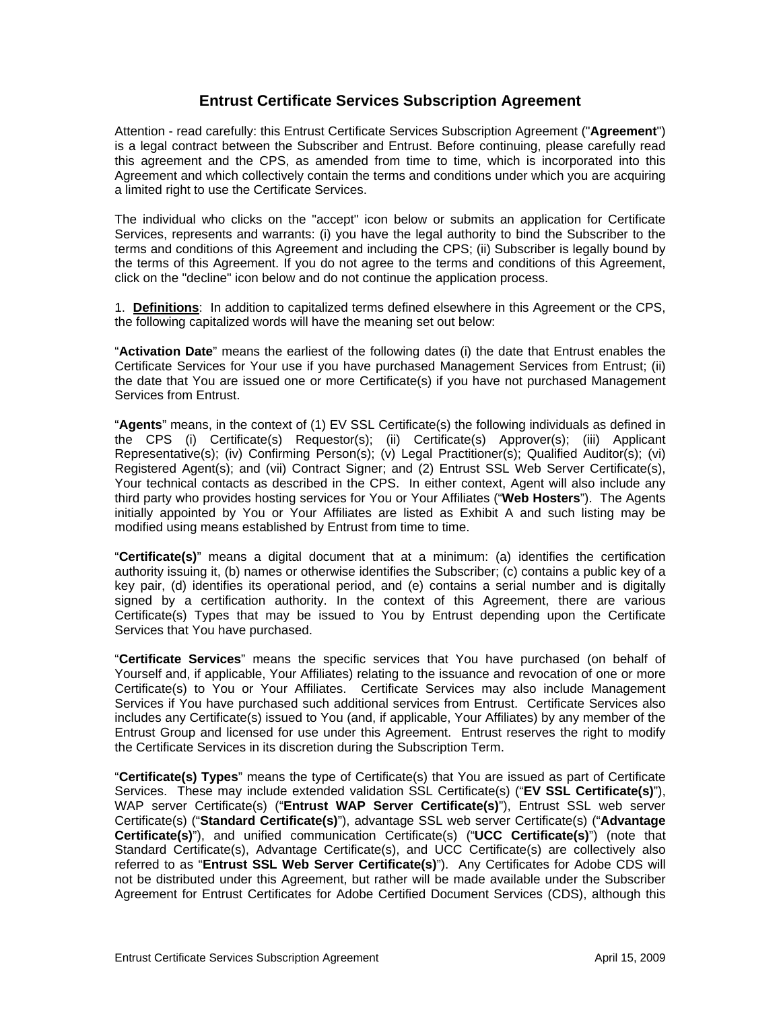# **Entrust Certificate Services Subscription Agreement**

Attention - read carefully: this Entrust Certificate Services Subscription Agreement ("**Agreement**") is a legal contract between the Subscriber and Entrust. Before continuing, please carefully read this agreement and the CPS, as amended from time to time, which is incorporated into this Agreement and which collectively contain the terms and conditions under which you are acquiring a limited right to use the Certificate Services.

The individual who clicks on the "accept" icon below or submits an application for Certificate Services, represents and warrants: (i) you have the legal authority to bind the Subscriber to the terms and conditions of this Agreement and including the CPS; (ii) Subscriber is legally bound by the terms of this Agreement. If you do not agree to the terms and conditions of this Agreement, click on the "decline" icon below and do not continue the application process.

1. **Definitions**: In addition to capitalized terms defined elsewhere in this Agreement or the CPS, the following capitalized words will have the meaning set out below:

"**Activation Date**" means the earliest of the following dates (i) the date that Entrust enables the Certificate Services for Your use if you have purchased Management Services from Entrust; (ii) the date that You are issued one or more Certificate(s) if you have not purchased Management Services from Entrust.

"**Agents**" means, in the context of (1) EV SSL Certificate(s) the following individuals as defined in the CPS (i) Certificate(s) Requestor(s); (ii) Certificate(s) Approver(s); (iii) Applicant Representative(s); (iv) Confirming Person(s); (v) Legal Practitioner(s); Qualified Auditor(s); (vi) Registered Agent(s); and (vii) Contract Signer; and (2) Entrust SSL Web Server Certificate(s), Your technical contacts as described in the CPS. In either context, Agent will also include any third party who provides hosting services for You or Your Affiliates ("**Web Hosters**"). The Agents initially appointed by You or Your Affiliates are listed as Exhibit A and such listing may be modified using means established by Entrust from time to time.

"**Certificate(s)**" means a digital document that at a minimum: (a) identifies the certification authority issuing it, (b) names or otherwise identifies the Subscriber; (c) contains a public key of a key pair, (d) identifies its operational period, and (e) contains a serial number and is digitally signed by a certification authority. In the context of this Agreement, there are various Certificate(s) Types that may be issued to You by Entrust depending upon the Certificate Services that You have purchased.

"**Certificate Services**" means the specific services that You have purchased (on behalf of Yourself and, if applicable, Your Affiliates) relating to the issuance and revocation of one or more Certificate(s) to You or Your Affiliates. Certificate Services may also include Management Services if You have purchased such additional services from Entrust. Certificate Services also includes any Certificate(s) issued to You (and, if applicable, Your Affiliates) by any member of the Entrust Group and licensed for use under this Agreement. Entrust reserves the right to modify the Certificate Services in its discretion during the Subscription Term.

"**Certificate(s) Types**" means the type of Certificate(s) that You are issued as part of Certificate Services. These may include extended validation SSL Certificate(s) ("**EV SSL Certificate(s)**"), WAP server Certificate(s) ("**Entrust WAP Server Certificate(s)**"), Entrust SSL web server Certificate(s) ("**Standard Certificate(s)**"), advantage SSL web server Certificate(s) ("**Advantage Certificate(s)**"), and unified communication Certificate(s) ("**UCC Certificate(s)**") (note that Standard Certificate(s), Advantage Certificate(s), and UCC Certificate(s) are collectively also referred to as "**Entrust SSL Web Server Certificate(s)**"). Any Certificates for Adobe CDS will not be distributed under this Agreement, but rather will be made available under the Subscriber Agreement for Entrust Certificates for Adobe Certified Document Services (CDS), although this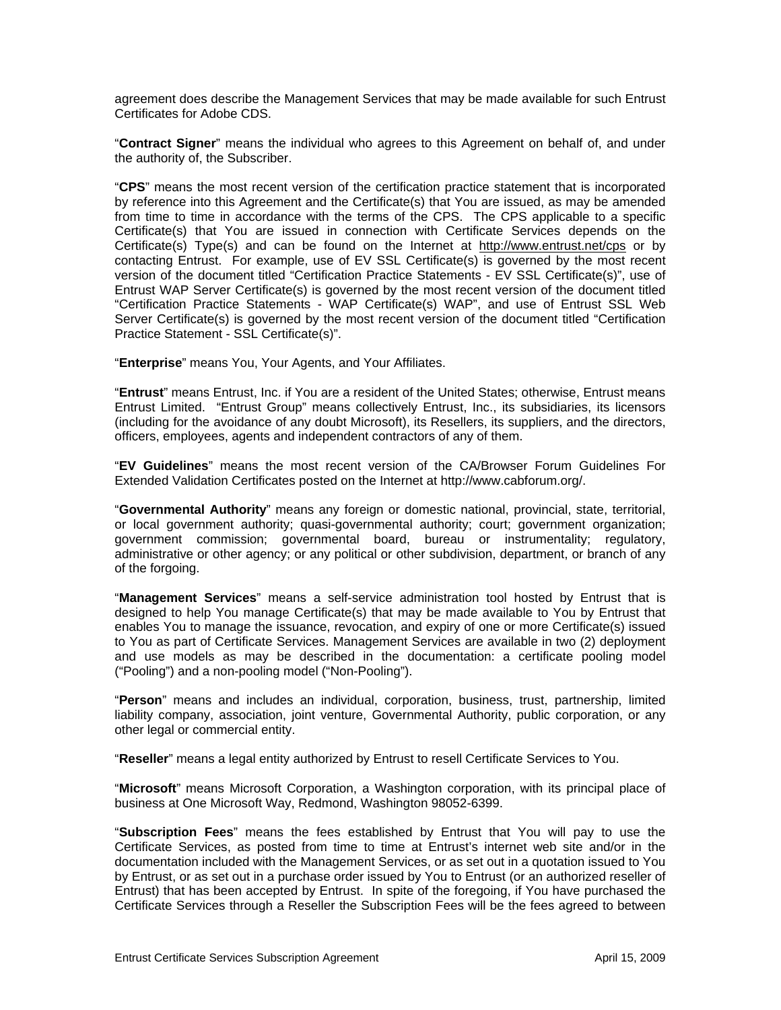agreement does describe the Management Services that may be made available for such Entrust Certificates for Adobe CDS.

"**Contract Signer**" means the individual who agrees to this Agreement on behalf of, and under the authority of, the Subscriber.

"**CPS**" means the most recent version of the certification practice statement that is incorporated by reference into this Agreement and the Certificate(s) that You are issued, as may be amended from time to time in accordance with the terms of the CPS. The CPS applicable to a specific Certificate(s) that You are issued in connection with Certificate Services depends on the Certificate(s) Type(s) and can be found on the Internet at http://www.entrust.net/cps or by contacting Entrust. For example, use of EV SSL Certificate(s) is governed by the most recent version of the document titled "Certification Practice Statements - EV SSL Certificate(s)", use of Entrust WAP Server Certificate(s) is governed by the most recent version of the document titled "Certification Practice Statements - WAP Certificate(s) WAP", and use of Entrust SSL Web Server Certificate(s) is governed by the most recent version of the document titled "Certification Practice Statement - SSL Certificate(s)".

"**Enterprise**" means You, Your Agents, and Your Affiliates.

"**Entrust**" means Entrust, Inc. if You are a resident of the United States; otherwise, Entrust means Entrust Limited. "Entrust Group" means collectively Entrust, Inc., its subsidiaries, its licensors (including for the avoidance of any doubt Microsoft), its Resellers, its suppliers, and the directors, officers, employees, agents and independent contractors of any of them.

"**EV Guidelines**" means the most recent version of the CA/Browser Forum Guidelines For Extended Validation Certificates posted on the Internet at http://www.cabforum.org/.

"**Governmental Authority**" means any foreign or domestic national, provincial, state, territorial, or local government authority; quasi-governmental authority; court; government organization; government commission; governmental board, bureau or instrumentality; regulatory, administrative or other agency; or any political or other subdivision, department, or branch of any of the forgoing.

"**Management Services**" means a self-service administration tool hosted by Entrust that is designed to help You manage Certificate(s) that may be made available to You by Entrust that enables You to manage the issuance, revocation, and expiry of one or more Certificate(s) issued to You as part of Certificate Services. Management Services are available in two (2) deployment and use models as may be described in the documentation: a certificate pooling model ("Pooling") and a non-pooling model ("Non-Pooling").

"**Person**" means and includes an individual, corporation, business, trust, partnership, limited liability company, association, joint venture, Governmental Authority, public corporation, or any other legal or commercial entity.

"**Reseller**" means a legal entity authorized by Entrust to resell Certificate Services to You.

"**Microsoft**" means Microsoft Corporation, a Washington corporation, with its principal place of business at One Microsoft Way, Redmond, Washington 98052-6399.

"**Subscription Fees**" means the fees established by Entrust that You will pay to use the Certificate Services, as posted from time to time at Entrust's internet web site and/or in the documentation included with the Management Services, or as set out in a quotation issued to You by Entrust, or as set out in a purchase order issued by You to Entrust (or an authorized reseller of Entrust) that has been accepted by Entrust. In spite of the foregoing, if You have purchased the Certificate Services through a Reseller the Subscription Fees will be the fees agreed to between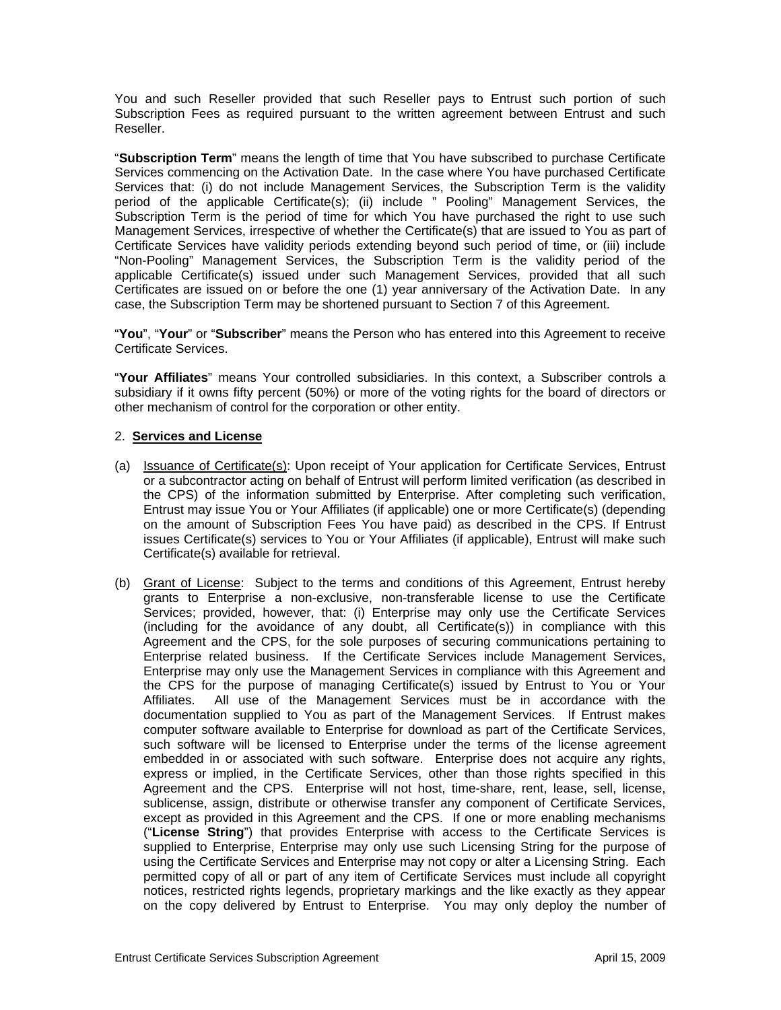You and such Reseller provided that such Reseller pays to Entrust such portion of such Subscription Fees as required pursuant to the written agreement between Entrust and such Reseller.

"**Subscription Term**" means the length of time that You have subscribed to purchase Certificate Services commencing on the Activation Date. In the case where You have purchased Certificate Services that: (i) do not include Management Services, the Subscription Term is the validity period of the applicable Certificate(s); (ii) include " Pooling" Management Services, the Subscription Term is the period of time for which You have purchased the right to use such Management Services, irrespective of whether the Certificate(s) that are issued to You as part of Certificate Services have validity periods extending beyond such period of time, or (iii) include "Non-Pooling" Management Services, the Subscription Term is the validity period of the applicable Certificate(s) issued under such Management Services, provided that all such Certificates are issued on or before the one (1) year anniversary of the Activation Date. In any case, the Subscription Term may be shortened pursuant to Section 7 of this Agreement.

"**You**", "**Your**" or "**Subscriber**" means the Person who has entered into this Agreement to receive Certificate Services.

"**Your Affiliates**" means Your controlled subsidiaries. In this context, a Subscriber controls a subsidiary if it owns fifty percent (50%) or more of the voting rights for the board of directors or other mechanism of control for the corporation or other entity.

### 2. **Services and License**

- (a) Issuance of Certificate(s): Upon receipt of Your application for Certificate Services, Entrust or a subcontractor acting on behalf of Entrust will perform limited verification (as described in the CPS) of the information submitted by Enterprise. After completing such verification, Entrust may issue You or Your Affiliates (if applicable) one or more Certificate(s) (depending on the amount of Subscription Fees You have paid) as described in the CPS. If Entrust issues Certificate(s) services to You or Your Affiliates (if applicable), Entrust will make such Certificate(s) available for retrieval.
- (b) Grant of License: Subject to the terms and conditions of this Agreement, Entrust hereby grants to Enterprise a non-exclusive, non-transferable license to use the Certificate Services; provided, however, that: (i) Enterprise may only use the Certificate Services (including for the avoidance of any doubt, all Certificate(s)) in compliance with this Agreement and the CPS, for the sole purposes of securing communications pertaining to Enterprise related business. If the Certificate Services include Management Services, Enterprise may only use the Management Services in compliance with this Agreement and the CPS for the purpose of managing Certificate(s) issued by Entrust to You or Your Affiliates. All use of the Management Services must be in accordance with the documentation supplied to You as part of the Management Services. If Entrust makes computer software available to Enterprise for download as part of the Certificate Services, such software will be licensed to Enterprise under the terms of the license agreement embedded in or associated with such software. Enterprise does not acquire any rights, express or implied, in the Certificate Services, other than those rights specified in this Agreement and the CPS. Enterprise will not host, time-share, rent, lease, sell, license, sublicense, assign, distribute or otherwise transfer any component of Certificate Services, except as provided in this Agreement and the CPS. If one or more enabling mechanisms ("**License String**") that provides Enterprise with access to the Certificate Services is supplied to Enterprise, Enterprise may only use such Licensing String for the purpose of using the Certificate Services and Enterprise may not copy or alter a Licensing String. Each permitted copy of all or part of any item of Certificate Services must include all copyright notices, restricted rights legends, proprietary markings and the like exactly as they appear on the copy delivered by Entrust to Enterprise. You may only deploy the number of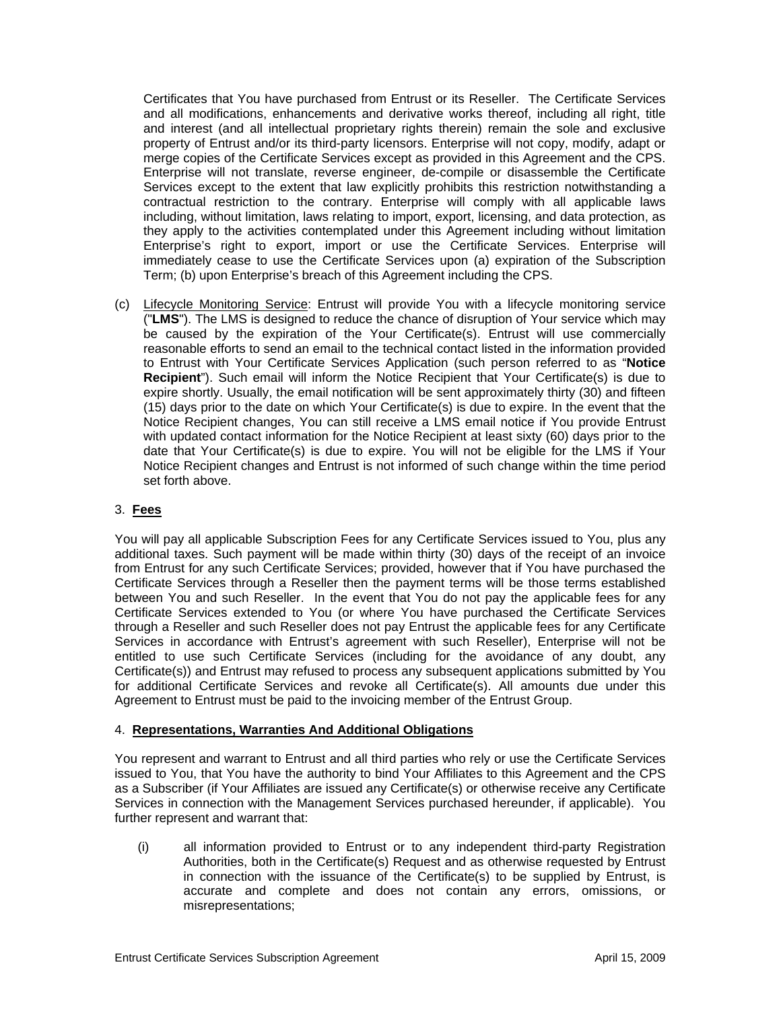Certificates that You have purchased from Entrust or its Reseller. The Certificate Services and all modifications, enhancements and derivative works thereof, including all right, title and interest (and all intellectual proprietary rights therein) remain the sole and exclusive property of Entrust and/or its third-party licensors. Enterprise will not copy, modify, adapt or merge copies of the Certificate Services except as provided in this Agreement and the CPS. Enterprise will not translate, reverse engineer, de-compile or disassemble the Certificate Services except to the extent that law explicitly prohibits this restriction notwithstanding a contractual restriction to the contrary. Enterprise will comply with all applicable laws including, without limitation, laws relating to import, export, licensing, and data protection, as they apply to the activities contemplated under this Agreement including without limitation Enterprise's right to export, import or use the Certificate Services. Enterprise will immediately cease to use the Certificate Services upon (a) expiration of the Subscription Term; (b) upon Enterprise's breach of this Agreement including the CPS.

(c) Lifecycle Monitoring Service: Entrust will provide You with a lifecycle monitoring service ("**LMS**"). The LMS is designed to reduce the chance of disruption of Your service which may be caused by the expiration of the Your Certificate(s). Entrust will use commercially reasonable efforts to send an email to the technical contact listed in the information provided to Entrust with Your Certificate Services Application (such person referred to as "**Notice Recipient**"). Such email will inform the Notice Recipient that Your Certificate(s) is due to expire shortly. Usually, the email notification will be sent approximately thirty (30) and fifteen (15) days prior to the date on which Your Certificate(s) is due to expire. In the event that the Notice Recipient changes, You can still receive a LMS email notice if You provide Entrust with updated contact information for the Notice Recipient at least sixty (60) days prior to the date that Your Certificate(s) is due to expire. You will not be eligible for the LMS if Your Notice Recipient changes and Entrust is not informed of such change within the time period set forth above.

### 3. **Fees**

You will pay all applicable Subscription Fees for any Certificate Services issued to You, plus any additional taxes. Such payment will be made within thirty (30) days of the receipt of an invoice from Entrust for any such Certificate Services; provided, however that if You have purchased the Certificate Services through a Reseller then the payment terms will be those terms established between You and such Reseller. In the event that You do not pay the applicable fees for any Certificate Services extended to You (or where You have purchased the Certificate Services through a Reseller and such Reseller does not pay Entrust the applicable fees for any Certificate Services in accordance with Entrust's agreement with such Reseller), Enterprise will not be entitled to use such Certificate Services (including for the avoidance of any doubt, any Certificate(s)) and Entrust may refused to process any subsequent applications submitted by You for additional Certificate Services and revoke all Certificate(s). All amounts due under this Agreement to Entrust must be paid to the invoicing member of the Entrust Group.

### 4. **Representations, Warranties And Additional Obligations**

You represent and warrant to Entrust and all third parties who rely or use the Certificate Services issued to You, that You have the authority to bind Your Affiliates to this Agreement and the CPS as a Subscriber (if Your Affiliates are issued any Certificate(s) or otherwise receive any Certificate Services in connection with the Management Services purchased hereunder, if applicable). You further represent and warrant that:

(i) all information provided to Entrust or to any independent third-party Registration Authorities, both in the Certificate(s) Request and as otherwise requested by Entrust in connection with the issuance of the Certificate(s) to be supplied by Entrust, is accurate and complete and does not contain any errors, omissions, or misrepresentations;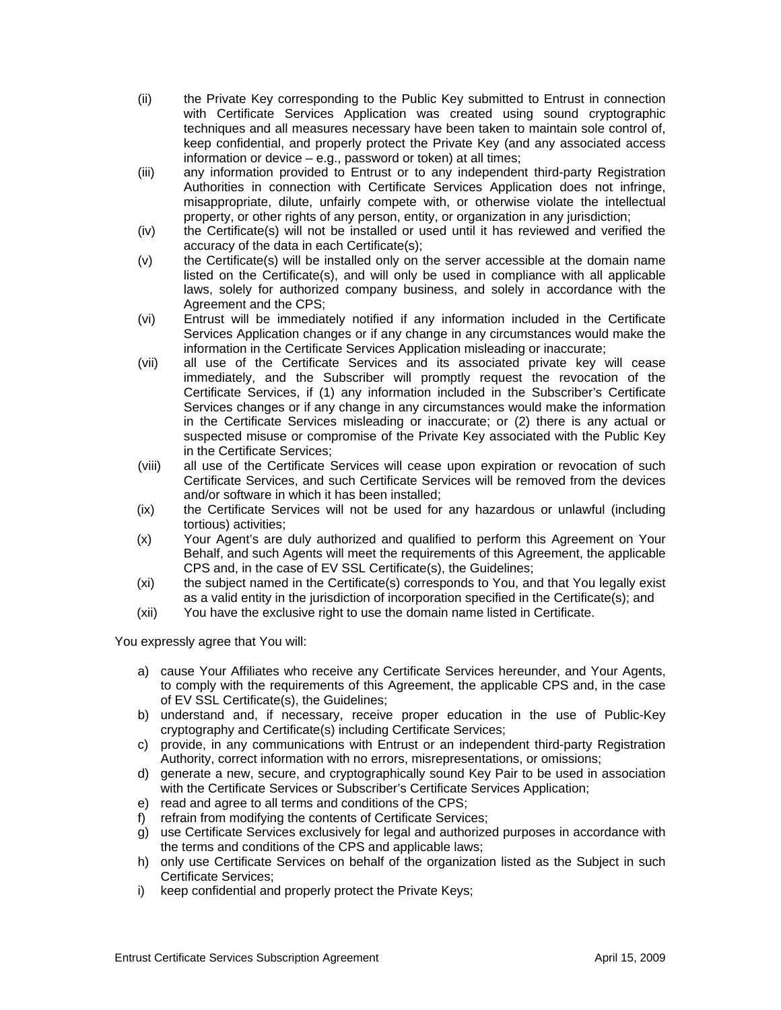- (ii) the Private Key corresponding to the Public Key submitted to Entrust in connection with Certificate Services Application was created using sound cryptographic techniques and all measures necessary have been taken to maintain sole control of, keep confidential, and properly protect the Private Key (and any associated access information or device – e.g., password or token) at all times;
- (iii) any information provided to Entrust or to any independent third-party Registration Authorities in connection with Certificate Services Application does not infringe, misappropriate, dilute, unfairly compete with, or otherwise violate the intellectual property, or other rights of any person, entity, or organization in any jurisdiction;
- (iv) the Certificate(s) will not be installed or used until it has reviewed and verified the accuracy of the data in each Certificate(s);
- (v) the Certificate(s) will be installed only on the server accessible at the domain name listed on the Certificate(s), and will only be used in compliance with all applicable laws, solely for authorized company business, and solely in accordance with the Agreement and the CPS;
- (vi) Entrust will be immediately notified if any information included in the Certificate Services Application changes or if any change in any circumstances would make the information in the Certificate Services Application misleading or inaccurate;
- (vii) all use of the Certificate Services and its associated private key will cease immediately, and the Subscriber will promptly request the revocation of the Certificate Services, if (1) any information included in the Subscriber's Certificate Services changes or if any change in any circumstances would make the information in the Certificate Services misleading or inaccurate; or (2) there is any actual or suspected misuse or compromise of the Private Key associated with the Public Key in the Certificate Services;
- (viii) all use of the Certificate Services will cease upon expiration or revocation of such Certificate Services, and such Certificate Services will be removed from the devices and/or software in which it has been installed;
- (ix) the Certificate Services will not be used for any hazardous or unlawful (including tortious) activities;
- (x) Your Agent's are duly authorized and qualified to perform this Agreement on Your Behalf, and such Agents will meet the requirements of this Agreement, the applicable CPS and, in the case of EV SSL Certificate(s), the Guidelines;
- (xi) the subject named in the Certificate(s) corresponds to You, and that You legally exist as a valid entity in the jurisdiction of incorporation specified in the Certificate(s); and
- (xii) You have the exclusive right to use the domain name listed in Certificate.

You expressly agree that You will:

- a) cause Your Affiliates who receive any Certificate Services hereunder, and Your Agents, to comply with the requirements of this Agreement, the applicable CPS and, in the case of EV SSL Certificate(s), the Guidelines;
- b) understand and, if necessary, receive proper education in the use of Public-Key cryptography and Certificate(s) including Certificate Services;
- c) provide, in any communications with Entrust or an independent third-party Registration Authority, correct information with no errors, misrepresentations, or omissions;
- d) generate a new, secure, and cryptographically sound Key Pair to be used in association with the Certificate Services or Subscriber's Certificate Services Application;
- e) read and agree to all terms and conditions of the CPS;
- f) refrain from modifying the contents of Certificate Services;
- g) use Certificate Services exclusively for legal and authorized purposes in accordance with the terms and conditions of the CPS and applicable laws;
- h) only use Certificate Services on behalf of the organization listed as the Subject in such Certificate Services;
- i) keep confidential and properly protect the Private Keys;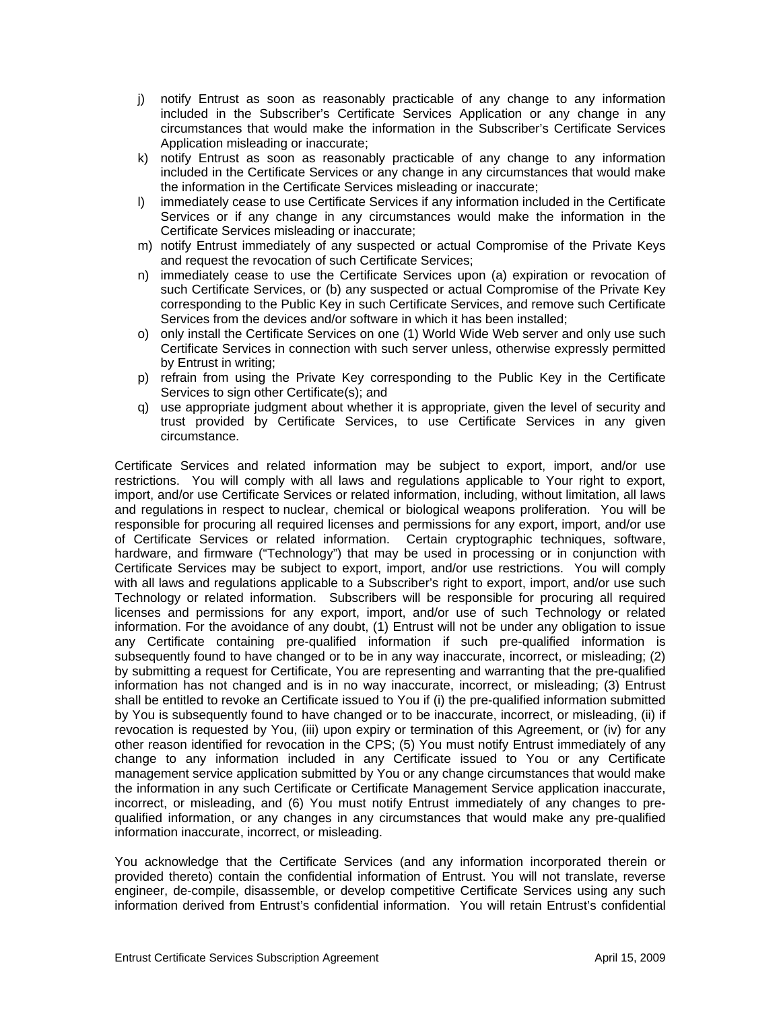- j) notify Entrust as soon as reasonably practicable of any change to any information included in the Subscriber's Certificate Services Application or any change in any circumstances that would make the information in the Subscriber's Certificate Services Application misleading or inaccurate;
- k) notify Entrust as soon as reasonably practicable of any change to any information included in the Certificate Services or any change in any circumstances that would make the information in the Certificate Services misleading or inaccurate;
- l) immediately cease to use Certificate Services if any information included in the Certificate Services or if any change in any circumstances would make the information in the Certificate Services misleading or inaccurate;
- m) notify Entrust immediately of any suspected or actual Compromise of the Private Keys and request the revocation of such Certificate Services;
- n) immediately cease to use the Certificate Services upon (a) expiration or revocation of such Certificate Services, or (b) any suspected or actual Compromise of the Private Key corresponding to the Public Key in such Certificate Services, and remove such Certificate Services from the devices and/or software in which it has been installed;
- o) only install the Certificate Services on one (1) World Wide Web server and only use such Certificate Services in connection with such server unless, otherwise expressly permitted by Entrust in writing;
- p) refrain from using the Private Key corresponding to the Public Key in the Certificate Services to sign other Certificate(s); and
- q) use appropriate judgment about whether it is appropriate, given the level of security and trust provided by Certificate Services, to use Certificate Services in any given circumstance.

Certificate Services and related information may be subject to export, import, and/or use restrictions. You will comply with all laws and regulations applicable to Your right to export, import, and/or use Certificate Services or related information, including, without limitation, all laws and regulations in respect to nuclear, chemical or biological weapons proliferation. You will be responsible for procuring all required licenses and permissions for any export, import, and/or use of Certificate Services or related information. Certain cryptographic techniques, software, hardware, and firmware ("Technology") that may be used in processing or in conjunction with Certificate Services may be subject to export, import, and/or use restrictions. You will comply with all laws and regulations applicable to a Subscriber's right to export, import, and/or use such Technology or related information. Subscribers will be responsible for procuring all required licenses and permissions for any export, import, and/or use of such Technology or related information. For the avoidance of any doubt, (1) Entrust will not be under any obligation to issue any Certificate containing pre-qualified information if such pre-qualified information is subsequently found to have changed or to be in any way inaccurate, incorrect, or misleading; (2) by submitting a request for Certificate, You are representing and warranting that the pre-qualified information has not changed and is in no way inaccurate, incorrect, or misleading; (3) Entrust shall be entitled to revoke an Certificate issued to You if (i) the pre-qualified information submitted by You is subsequently found to have changed or to be inaccurate, incorrect, or misleading, (ii) if revocation is requested by You, (iii) upon expiry or termination of this Agreement, or (iv) for any other reason identified for revocation in the CPS; (5) You must notify Entrust immediately of any change to any information included in any Certificate issued to You or any Certificate management service application submitted by You or any change circumstances that would make the information in any such Certificate or Certificate Management Service application inaccurate, incorrect, or misleading, and (6) You must notify Entrust immediately of any changes to prequalified information, or any changes in any circumstances that would make any pre-qualified information inaccurate, incorrect, or misleading.

You acknowledge that the Certificate Services (and any information incorporated therein or provided thereto) contain the confidential information of Entrust. You will not translate, reverse engineer, de-compile, disassemble, or develop competitive Certificate Services using any such information derived from Entrust's confidential information. You will retain Entrust's confidential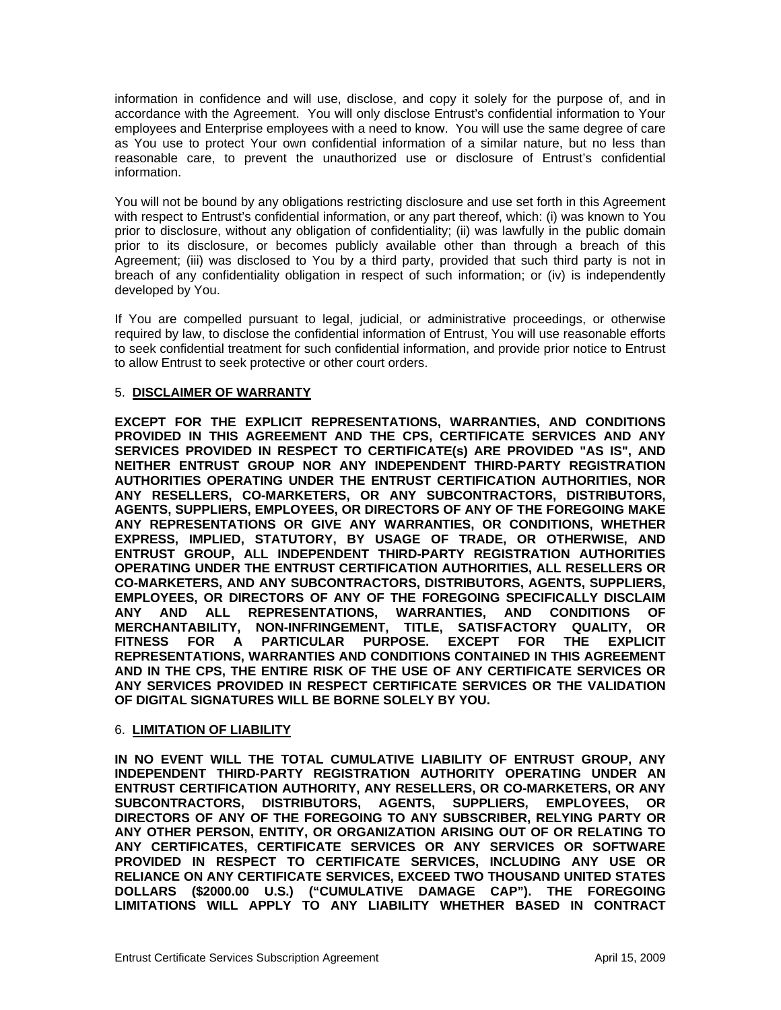information in confidence and will use, disclose, and copy it solely for the purpose of, and in accordance with the Agreement. You will only disclose Entrust's confidential information to Your employees and Enterprise employees with a need to know. You will use the same degree of care as You use to protect Your own confidential information of a similar nature, but no less than reasonable care, to prevent the unauthorized use or disclosure of Entrust's confidential information.

You will not be bound by any obligations restricting disclosure and use set forth in this Agreement with respect to Entrust's confidential information, or any part thereof, which: (i) was known to You prior to disclosure, without any obligation of confidentiality; (ii) was lawfully in the public domain prior to its disclosure, or becomes publicly available other than through a breach of this Agreement; (iii) was disclosed to You by a third party, provided that such third party is not in breach of any confidentiality obligation in respect of such information; or (iv) is independently developed by You.

If You are compelled pursuant to legal, judicial, or administrative proceedings, or otherwise required by law, to disclose the confidential information of Entrust, You will use reasonable efforts to seek confidential treatment for such confidential information, and provide prior notice to Entrust to allow Entrust to seek protective or other court orders.

# 5. **DISCLAIMER OF WARRANTY**

**EXCEPT FOR THE EXPLICIT REPRESENTATIONS, WARRANTIES, AND CONDITIONS PROVIDED IN THIS AGREEMENT AND THE CPS, CERTIFICATE SERVICES AND ANY SERVICES PROVIDED IN RESPECT TO CERTIFICATE(s) ARE PROVIDED "AS IS", AND NEITHER ENTRUST GROUP NOR ANY INDEPENDENT THIRD-PARTY REGISTRATION AUTHORITIES OPERATING UNDER THE ENTRUST CERTIFICATION AUTHORITIES, NOR ANY RESELLERS, CO-MARKETERS, OR ANY SUBCONTRACTORS, DISTRIBUTORS, AGENTS, SUPPLIERS, EMPLOYEES, OR DIRECTORS OF ANY OF THE FOREGOING MAKE ANY REPRESENTATIONS OR GIVE ANY WARRANTIES, OR CONDITIONS, WHETHER EXPRESS, IMPLIED, STATUTORY, BY USAGE OF TRADE, OR OTHERWISE, AND ENTRUST GROUP, ALL INDEPENDENT THIRD-PARTY REGISTRATION AUTHORITIES OPERATING UNDER THE ENTRUST CERTIFICATION AUTHORITIES, ALL RESELLERS OR CO-MARKETERS, AND ANY SUBCONTRACTORS, DISTRIBUTORS, AGENTS, SUPPLIERS, EMPLOYEES, OR DIRECTORS OF ANY OF THE FOREGOING SPECIFICALLY DISCLAIM ANY AND ALL REPRESENTATIONS, WARRANTIES, AND CONDITIONS OF MERCHANTABILITY, NON-INFRINGEMENT, TITLE, SATISFACTORY QUALITY, OR FITNESS FOR A PARTICULAR PURPOSE. EXCEPT FOR THE EXPLICIT REPRESENTATIONS, WARRANTIES AND CONDITIONS CONTAINED IN THIS AGREEMENT AND IN THE CPS, THE ENTIRE RISK OF THE USE OF ANY CERTIFICATE SERVICES OR ANY SERVICES PROVIDED IN RESPECT CERTIFICATE SERVICES OR THE VALIDATION OF DIGITAL SIGNATURES WILL BE BORNE SOLELY BY YOU.**

### 6. **LIMITATION OF LIABILITY**

**IN NO EVENT WILL THE TOTAL CUMULATIVE LIABILITY OF ENTRUST GROUP, ANY INDEPENDENT THIRD-PARTY REGISTRATION AUTHORITY OPERATING UNDER AN ENTRUST CERTIFICATION AUTHORITY, ANY RESELLERS, OR CO-MARKETERS, OR ANY SUBCONTRACTORS, DISTRIBUTORS, AGENTS, SUPPLIERS, EMPLOYEES, OR DIRECTORS OF ANY OF THE FOREGOING TO ANY SUBSCRIBER, RELYING PARTY OR ANY OTHER PERSON, ENTITY, OR ORGANIZATION ARISING OUT OF OR RELATING TO ANY CERTIFICATES, CERTIFICATE SERVICES OR ANY SERVICES OR SOFTWARE PROVIDED IN RESPECT TO CERTIFICATE SERVICES, INCLUDING ANY USE OR RELIANCE ON ANY CERTIFICATE SERVICES, EXCEED TWO THOUSAND UNITED STATES DOLLARS (\$2000.00 U.S.) ("CUMULATIVE DAMAGE CAP"). THE FOREGOING LIMITATIONS WILL APPLY TO ANY LIABILITY WHETHER BASED IN CONTRACT**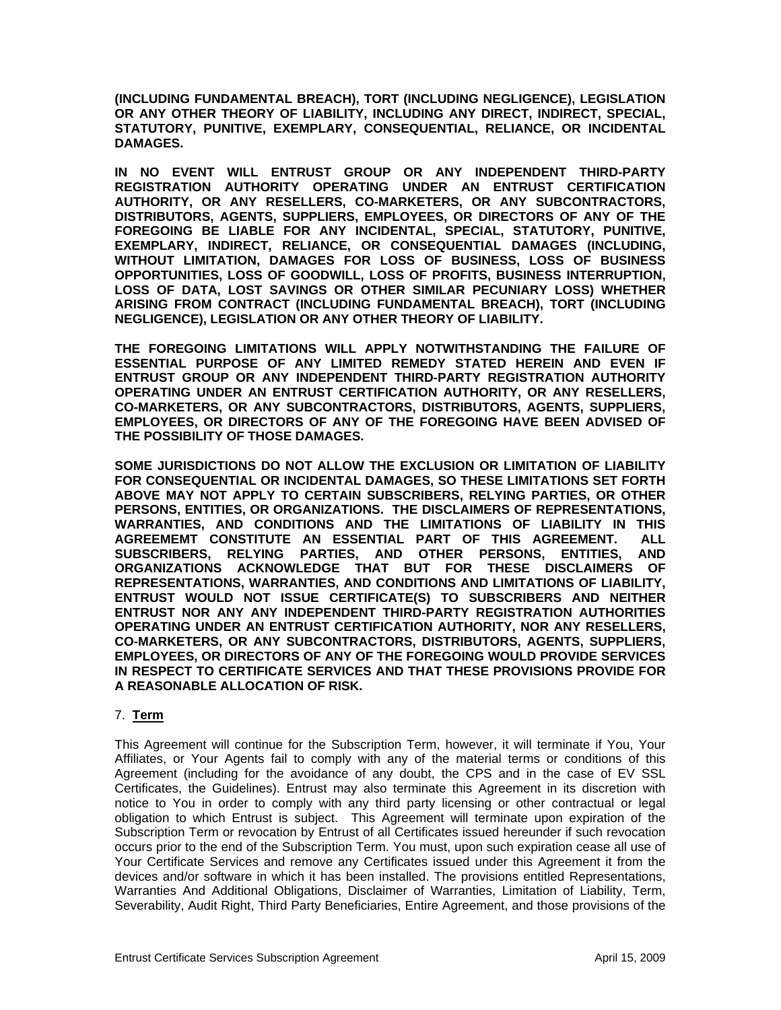**(INCLUDING FUNDAMENTAL BREACH), TORT (INCLUDING NEGLIGENCE), LEGISLATION OR ANY OTHER THEORY OF LIABILITY, INCLUDING ANY DIRECT, INDIRECT, SPECIAL, STATUTORY, PUNITIVE, EXEMPLARY, CONSEQUENTIAL, RELIANCE, OR INCIDENTAL DAMAGES.** 

**IN NO EVENT WILL ENTRUST GROUP OR ANY INDEPENDENT THIRD-PARTY REGISTRATION AUTHORITY OPERATING UNDER AN ENTRUST CERTIFICATION AUTHORITY, OR ANY RESELLERS, CO-MARKETERS, OR ANY SUBCONTRACTORS, DISTRIBUTORS, AGENTS, SUPPLIERS, EMPLOYEES, OR DIRECTORS OF ANY OF THE FOREGOING BE LIABLE FOR ANY INCIDENTAL, SPECIAL, STATUTORY, PUNITIVE, EXEMPLARY, INDIRECT, RELIANCE, OR CONSEQUENTIAL DAMAGES (INCLUDING, WITHOUT LIMITATION, DAMAGES FOR LOSS OF BUSINESS, LOSS OF BUSINESS OPPORTUNITIES, LOSS OF GOODWILL, LOSS OF PROFITS, BUSINESS INTERRUPTION, LOSS OF DATA, LOST SAVINGS OR OTHER SIMILAR PECUNIARY LOSS) WHETHER ARISING FROM CONTRACT (INCLUDING FUNDAMENTAL BREACH), TORT (INCLUDING NEGLIGENCE), LEGISLATION OR ANY OTHER THEORY OF LIABILITY.** 

**THE FOREGOING LIMITATIONS WILL APPLY NOTWITHSTANDING THE FAILURE OF ESSENTIAL PURPOSE OF ANY LIMITED REMEDY STATED HEREIN AND EVEN IF ENTRUST GROUP OR ANY INDEPENDENT THIRD-PARTY REGISTRATION AUTHORITY OPERATING UNDER AN ENTRUST CERTIFICATION AUTHORITY, OR ANY RESELLERS, CO-MARKETERS, OR ANY SUBCONTRACTORS, DISTRIBUTORS, AGENTS, SUPPLIERS, EMPLOYEES, OR DIRECTORS OF ANY OF THE FOREGOING HAVE BEEN ADVISED OF THE POSSIBILITY OF THOSE DAMAGES.** 

**SOME JURISDICTIONS DO NOT ALLOW THE EXCLUSION OR LIMITATION OF LIABILITY FOR CONSEQUENTIAL OR INCIDENTAL DAMAGES, SO THESE LIMITATIONS SET FORTH ABOVE MAY NOT APPLY TO CERTAIN SUBSCRIBERS, RELYING PARTIES, OR OTHER PERSONS, ENTITIES, OR ORGANIZATIONS. THE DISCLAIMERS OF REPRESENTATIONS, WARRANTIES, AND CONDITIONS AND THE LIMITATIONS OF LIABILITY IN THIS AGREEMEMT CONSTITUTE AN ESSENTIAL PART OF THIS AGREEMENT. ALL SUBSCRIBERS, RELYING PARTIES, AND OTHER PERSONS, ENTITIES, AND ORGANIZATIONS ACKNOWLEDGE THAT BUT FOR THESE DISCLAIMERS OF REPRESENTATIONS, WARRANTIES, AND CONDITIONS AND LIMITATIONS OF LIABILITY, ENTRUST WOULD NOT ISSUE CERTIFICATE(S) TO SUBSCRIBERS AND NEITHER ENTRUST NOR ANY ANY INDEPENDENT THIRD-PARTY REGISTRATION AUTHORITIES OPERATING UNDER AN ENTRUST CERTIFICATION AUTHORITY, NOR ANY RESELLERS, CO-MARKETERS, OR ANY SUBCONTRACTORS, DISTRIBUTORS, AGENTS, SUPPLIERS, EMPLOYEES, OR DIRECTORS OF ANY OF THE FOREGOING WOULD PROVIDE SERVICES IN RESPECT TO CERTIFICATE SERVICES AND THAT THESE PROVISIONS PROVIDE FOR A REASONABLE ALLOCATION OF RISK.** 

### 7. **Term**

This Agreement will continue for the Subscription Term, however, it will terminate if You, Your Affiliates, or Your Agents fail to comply with any of the material terms or conditions of this Agreement (including for the avoidance of any doubt, the CPS and in the case of EV SSL Certificates, the Guidelines). Entrust may also terminate this Agreement in its discretion with notice to You in order to comply with any third party licensing or other contractual or legal obligation to which Entrust is subject. This Agreement will terminate upon expiration of the Subscription Term or revocation by Entrust of all Certificates issued hereunder if such revocation occurs prior to the end of the Subscription Term. You must, upon such expiration cease all use of Your Certificate Services and remove any Certificates issued under this Agreement it from the devices and/or software in which it has been installed. The provisions entitled Representations, Warranties And Additional Obligations, Disclaimer of Warranties, Limitation of Liability, Term, Severability, Audit Right, Third Party Beneficiaries, Entire Agreement, and those provisions of the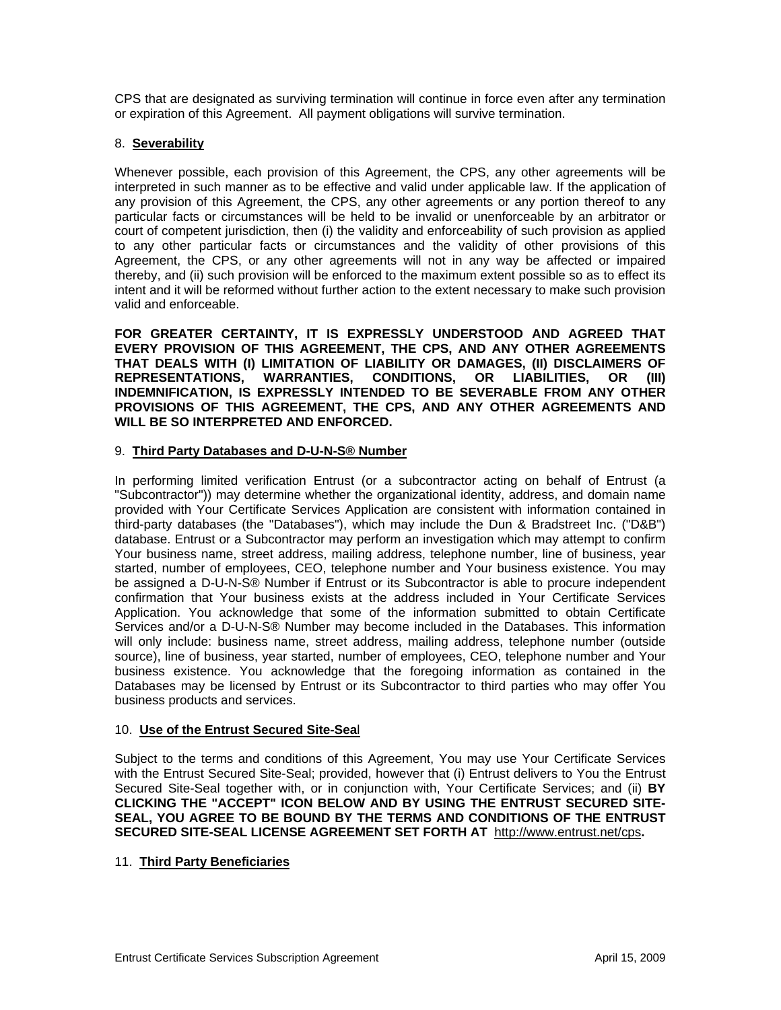CPS that are designated as surviving termination will continue in force even after any termination or expiration of this Agreement. All payment obligations will survive termination.

# 8. **Severability**

Whenever possible, each provision of this Agreement, the CPS, any other agreements will be interpreted in such manner as to be effective and valid under applicable law. If the application of any provision of this Agreement, the CPS, any other agreements or any portion thereof to any particular facts or circumstances will be held to be invalid or unenforceable by an arbitrator or court of competent jurisdiction, then (i) the validity and enforceability of such provision as applied to any other particular facts or circumstances and the validity of other provisions of this Agreement, the CPS, or any other agreements will not in any way be affected or impaired thereby, and (ii) such provision will be enforced to the maximum extent possible so as to effect its intent and it will be reformed without further action to the extent necessary to make such provision valid and enforceable.

**FOR GREATER CERTAINTY, IT IS EXPRESSLY UNDERSTOOD AND AGREED THAT EVERY PROVISION OF THIS AGREEMENT, THE CPS, AND ANY OTHER AGREEMENTS THAT DEALS WITH (I) LIMITATION OF LIABILITY OR DAMAGES, (II) DISCLAIMERS OF REPRESENTATIONS, WARRANTIES, CONDITIONS, OR LIABILITIES, OR (III) INDEMNIFICATION, IS EXPRESSLY INTENDED TO BE SEVERABLE FROM ANY OTHER PROVISIONS OF THIS AGREEMENT, THE CPS, AND ANY OTHER AGREEMENTS AND WILL BE SO INTERPRETED AND ENFORCED.** 

### 9. **Third Party Databases and D-U-N-S® Number**

In performing limited verification Entrust (or a subcontractor acting on behalf of Entrust (a "Subcontractor")) may determine whether the organizational identity, address, and domain name provided with Your Certificate Services Application are consistent with information contained in third-party databases (the "Databases"), which may include the Dun & Bradstreet Inc. ("D&B") database. Entrust or a Subcontractor may perform an investigation which may attempt to confirm Your business name, street address, mailing address, telephone number, line of business, year started, number of employees, CEO, telephone number and Your business existence. You may be assigned a D-U-N-S® Number if Entrust or its Subcontractor is able to procure independent confirmation that Your business exists at the address included in Your Certificate Services Application. You acknowledge that some of the information submitted to obtain Certificate Services and/or a D-U-N-S® Number may become included in the Databases. This information will only include: business name, street address, mailing address, telephone number (outside source), line of business, year started, number of employees, CEO, telephone number and Your business existence. You acknowledge that the foregoing information as contained in the Databases may be licensed by Entrust or its Subcontractor to third parties who may offer You business products and services.

### 10. **Use of the Entrust Secured Site-Sea**l

Subject to the terms and conditions of this Agreement, You may use Your Certificate Services with the Entrust Secured Site-Seal; provided, however that (i) Entrust delivers to You the Entrust Secured Site-Seal together with, or in conjunction with, Your Certificate Services; and (ii) **BY CLICKING THE "ACCEPT" ICON BELOW AND BY USING THE ENTRUST SECURED SITE-SEAL, YOU AGREE TO BE BOUND BY THE TERMS AND CONDITIONS OF THE ENTRUST SECURED SITE-SEAL LICENSE AGREEMENT SET FORTH AT** http://www.entrust.net/cps**.**

### 11. **Third Party Beneficiaries**